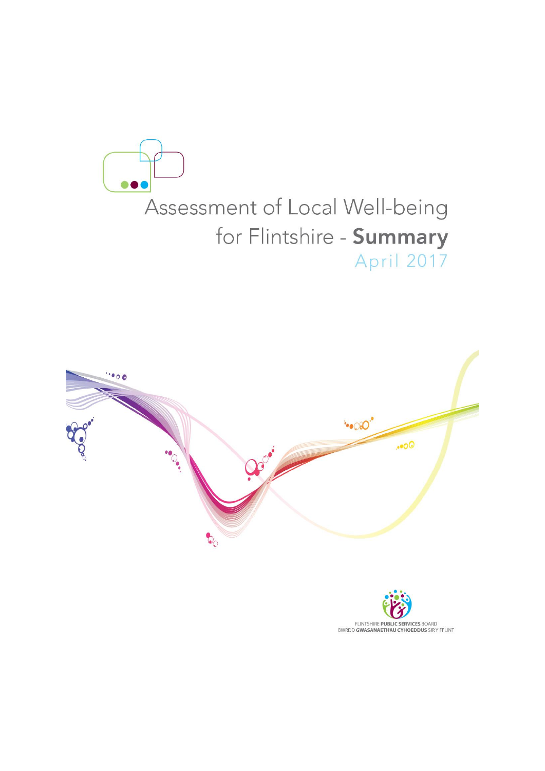



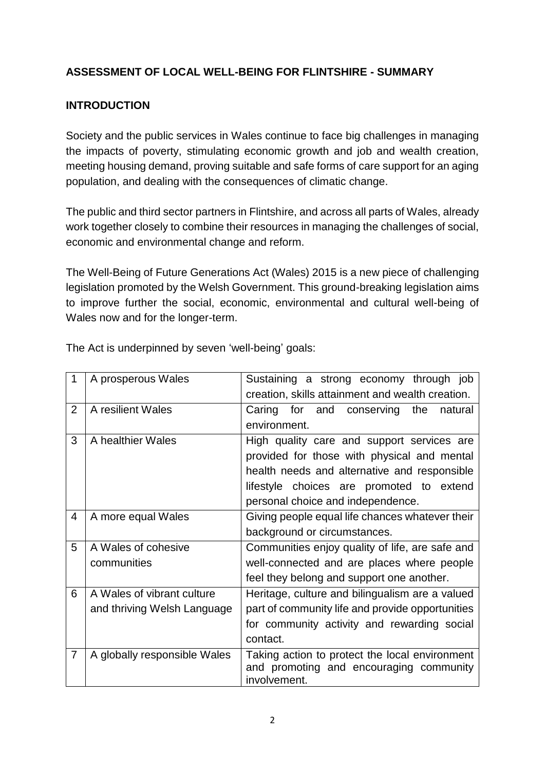# **ASSESSMENT OF LOCAL WELL-BEING FOR FLINTSHIRE - SUMMARY**

# **INTRODUCTION**

Society and the public services in Wales continue to face big challenges in managing the impacts of poverty, stimulating economic growth and job and wealth creation, meeting housing demand, proving suitable and safe forms of care support for an aging population, and dealing with the consequences of climatic change.

The public and third sector partners in Flintshire, and across all parts of Wales, already work together closely to combine their resources in managing the challenges of social, economic and environmental change and reform.

The Well-Being of Future Generations Act (Wales) 2015 is a new piece of challenging legislation promoted by the Welsh Government. This ground-breaking legislation aims to improve further the social, economic, environmental and cultural well-being of Wales now and for the longer-term.

| 1              | A prosperous Wales           | Sustaining a strong economy through job                 |
|----------------|------------------------------|---------------------------------------------------------|
|                |                              | creation, skills attainment and wealth creation.        |
| $\overline{2}$ | A resilient Wales            | Caring for and conserving<br>the<br>natural             |
|                |                              | environment.                                            |
| 3              | A healthier Wales            | High quality care and support services are              |
|                |                              | provided for those with physical and mental             |
|                |                              | health needs and alternative and responsible            |
|                |                              | lifestyle choices are promoted to extend                |
|                |                              | personal choice and independence.                       |
| 4              | A more equal Wales           | Giving people equal life chances whatever their         |
|                |                              | background or circumstances.                            |
| 5              | A Wales of cohesive          | Communities enjoy quality of life, are safe and         |
|                | communities                  | well-connected and are places where people              |
|                |                              | feel they belong and support one another.               |
| 6              | A Wales of vibrant culture   | Heritage, culture and bilingualism are a valued         |
|                | and thriving Welsh Language  | part of community life and provide opportunities        |
|                |                              | for community activity and rewarding social             |
|                |                              | contact.                                                |
| 7              | A globally responsible Wales | Taking action to protect the local environment          |
|                |                              | and promoting and encouraging community<br>involvement. |

The Act is underpinned by seven 'well-being' goals: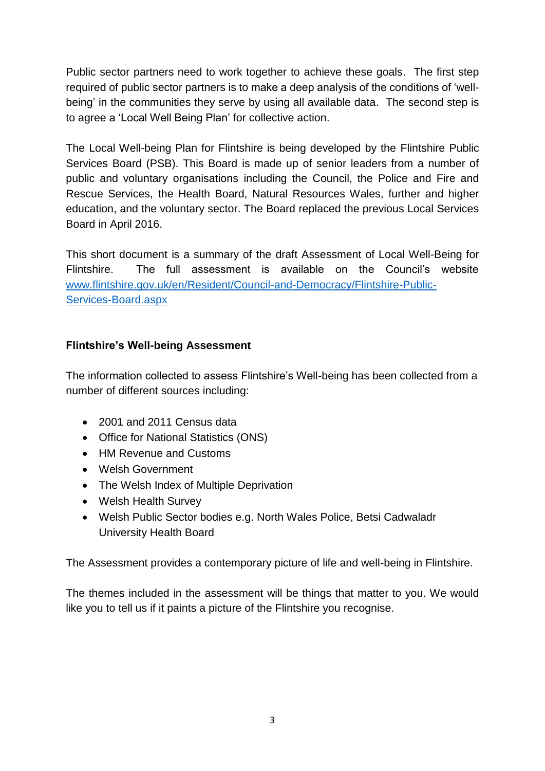Public sector partners need to work together to achieve these goals. The first step required of public sector partners is to make a deep analysis of the conditions of 'wellbeing' in the communities they serve by using all available data. The second step is to agree a 'Local Well Being Plan' for collective action.

The Local Well-being Plan for Flintshire is being developed by the Flintshire Public Services Board (PSB). This Board is made up of senior leaders from a number of public and voluntary organisations including the Council, the Police and Fire and Rescue Services, the Health Board, Natural Resources Wales, further and higher education, and the voluntary sector. The Board replaced the previous Local Services Board in April 2016.

This short document is a summary of the draft Assessment of Local Well-Being for Flintshire. The full assessment is available on the Council's website [www.flintshire.gov.uk/en/Resident/Council-and-Democracy/Flintshire-Public-](http://www.flintshire.gov.uk/en/Resident/Council-and-Democracy/Flintshire-Public-Services-Board.aspx)[Services-Board.aspx](http://www.flintshire.gov.uk/en/Resident/Council-and-Democracy/Flintshire-Public-Services-Board.aspx)

## **Flintshire's Well-being Assessment**

The information collected to assess Flintshire's Well-being has been collected from a number of different sources including:

- 2001 and 2011 Census data
- Office for National Statistics (ONS)
- HM Revenue and Customs
- Welsh Government
- The Welsh Index of Multiple Deprivation
- Welsh Health Survey
- Welsh Public Sector bodies e.g. North Wales Police, Betsi Cadwaladr University Health Board

The Assessment provides a contemporary picture of life and well-being in Flintshire.

The themes included in the assessment will be things that matter to you. We would like you to tell us if it paints a picture of the Flintshire you recognise.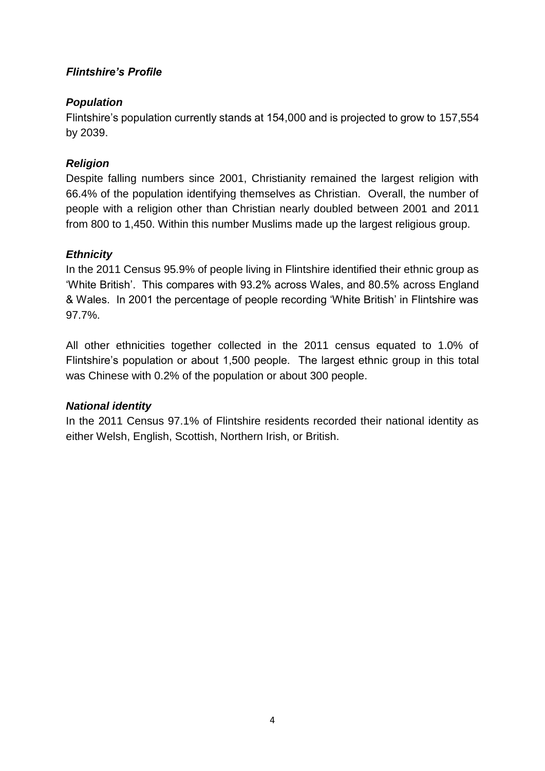# *Flintshire's Profile*

## *Population*

Flintshire's population currently stands at 154,000 and is projected to grow to 157,554 by 2039.

# *Religion*

Despite falling numbers since 2001, Christianity remained the largest religion with 66.4% of the population identifying themselves as Christian. Overall, the number of people with a religion other than Christian nearly doubled between 2001 and 2011 from 800 to 1,450. Within this number Muslims made up the largest religious group.

# *Ethnicity*

In the 2011 Census 95.9% of people living in Flintshire identified their ethnic group as 'White British'. This compares with 93.2% across Wales, and 80.5% across England & Wales. In 2001 the percentage of people recording 'White British' in Flintshire was 97.7%.

All other ethnicities together collected in the 2011 census equated to 1.0% of Flintshire's population or about 1,500 people. The largest ethnic group in this total was Chinese with 0.2% of the population or about 300 people.

## *National identity*

In the 2011 Census 97.1% of Flintshire residents recorded their national identity as either Welsh, English, Scottish, Northern Irish, or British.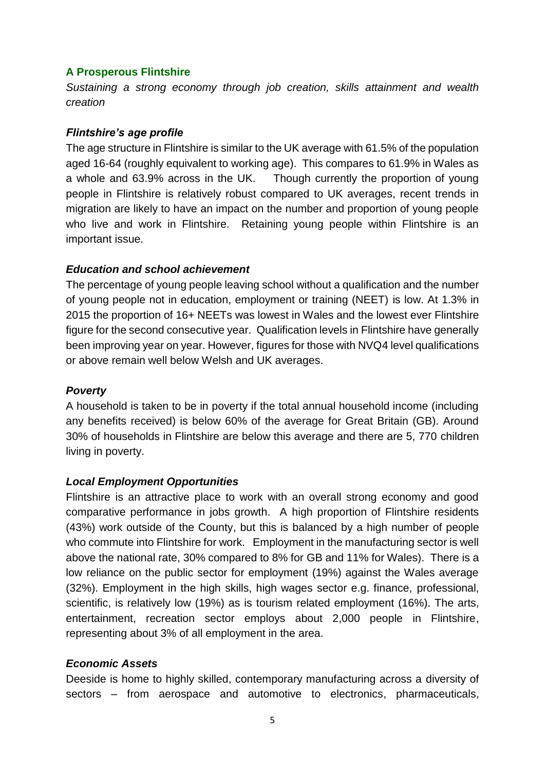### **A Prosperous Flintshire**

*Sustaining a strong economy through job creation, skills attainment and wealth creation*

### *Flintshire's age profile*

The age structure in Flintshire is similar to the UK average with 61.5% of the population aged 16-64 (roughly equivalent to working age). This compares to 61.9% in Wales as a whole and 63.9% across in the UK. Though currently the proportion of young people in Flintshire is relatively robust compared to UK averages, recent trends in migration are likely to have an impact on the number and proportion of young people who live and work in Flintshire. Retaining young people within Flintshire is an important issue.

#### *Education and school achievement*

The percentage of young people leaving school without a qualification and the number of young people not in education, employment or training (NEET) is low. At 1.3% in 2015 the proportion of 16+ NEETs was lowest in Wales and the lowest ever Flintshire figure for the second consecutive year. Qualification levels in Flintshire have generally been improving year on year. However, figures for those with NVQ4 level qualifications or above remain well below Welsh and UK averages.

### *Poverty*

A household is taken to be in poverty if the total annual household income (including any benefits received) is below 60% of the average for Great Britain (GB). Around 30% of households in Flintshire are below this average and there are 5, 770 children living in poverty.

## *Local Employment Opportunities*

Flintshire is an attractive place to work with an overall strong economy and good comparative performance in jobs growth. A high proportion of Flintshire residents (43%) work outside of the County, but this is balanced by a high number of people who commute into Flintshire for work. Employment in the manufacturing sector is well above the national rate, 30% compared to 8% for GB and 11% for Wales). There is a low reliance on the public sector for employment (19%) against the Wales average (32%). Employment in the high skills, high wages sector e.g. finance, professional, scientific, is relatively low (19%) as is tourism related employment (16%). The arts, entertainment, recreation sector employs about 2,000 people in Flintshire, representing about 3% of all employment in the area.

## *Economic Assets*

Deeside is home to highly skilled, contemporary manufacturing across a diversity of sectors – from aerospace and automotive to electronics, pharmaceuticals,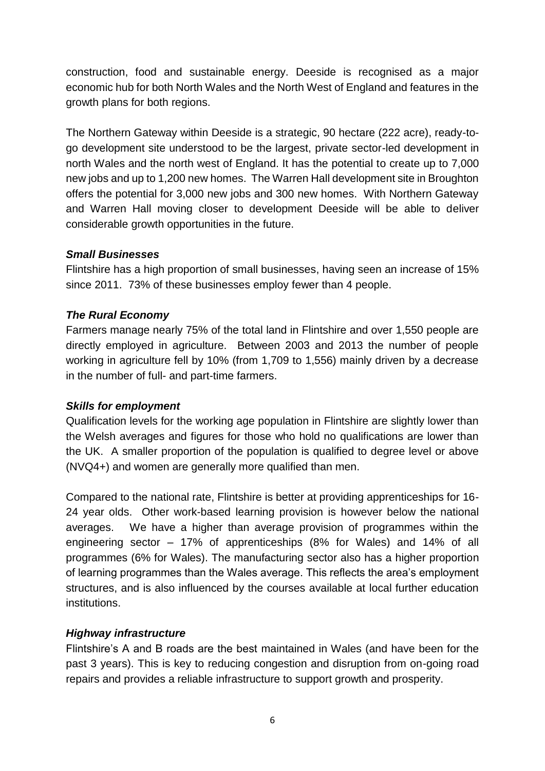construction, food and sustainable energy. Deeside is recognised as a major economic hub for both North Wales and the North West of England and features in the growth plans for both regions.

The Northern Gateway within Deeside is a strategic, 90 hectare (222 acre), ready-togo development site understood to be the largest, private sector-led development in north Wales and the north west of England. It has the potential to create up to 7,000 new jobs and up to 1,200 new homes. The Warren Hall development site in Broughton offers the potential for 3,000 new jobs and 300 new homes. With Northern Gateway and Warren Hall moving closer to development Deeside will be able to deliver considerable growth opportunities in the future.

## *Small Businesses*

Flintshire has a high proportion of small businesses, having seen an increase of 15% since 2011. 73% of these businesses employ fewer than 4 people.

## *The Rural Economy*

Farmers manage nearly 75% of the total land in Flintshire and over 1,550 people are directly employed in agriculture. Between 2003 and 2013 the number of people working in agriculture fell by 10% (from 1,709 to 1,556) mainly driven by a decrease in the number of full- and part-time farmers.

## *Skills for employment*

Qualification levels for the working age population in Flintshire are slightly lower than the Welsh averages and figures for those who hold no qualifications are lower than the UK. A smaller proportion of the population is qualified to degree level or above (NVQ4+) and women are generally more qualified than men.

Compared to the national rate, Flintshire is better at providing apprenticeships for 16- 24 year olds. Other work-based learning provision is however below the national averages. We have a higher than average provision of programmes within the engineering sector – 17% of apprenticeships (8% for Wales) and 14% of all programmes (6% for Wales). The manufacturing sector also has a higher proportion of learning programmes than the Wales average. This reflects the area's employment structures, and is also influenced by the courses available at local further education institutions.

## *Highway infrastructure*

Flintshire's A and B roads are the best maintained in Wales (and have been for the past 3 years). This is key to reducing congestion and disruption from on-going road repairs and provides a reliable infrastructure to support growth and prosperity.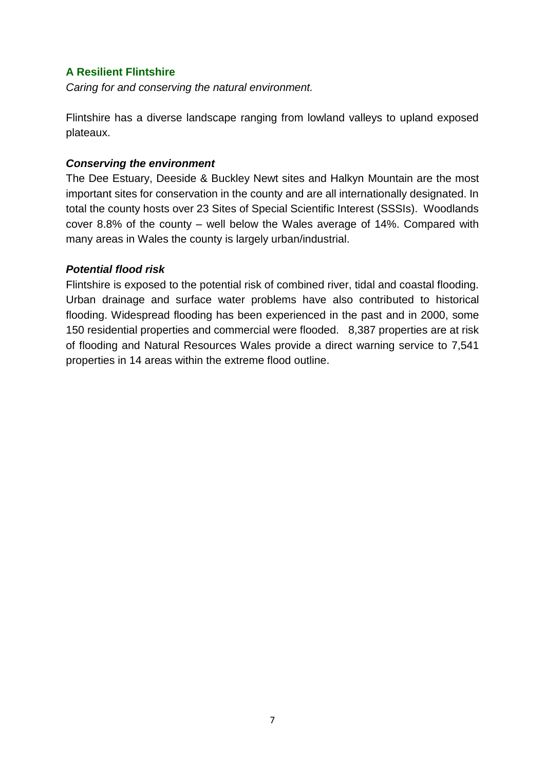## **A Resilient Flintshire**

*Caring for and conserving the natural environment.*

Flintshire has a diverse landscape ranging from lowland valleys to upland exposed plateaux.

### *Conserving the environment*

The Dee Estuary, Deeside & Buckley Newt sites and Halkyn Mountain are the most important sites for conservation in the county and are all internationally designated. In total the county hosts over 23 Sites of Special Scientific Interest (SSSIs). Woodlands cover 8.8% of the county – well below the Wales average of 14%. Compared with many areas in Wales the county is largely urban/industrial.

### *Potential flood risk*

Flintshire is exposed to the potential risk of combined river, tidal and coastal flooding. Urban drainage and surface water problems have also contributed to historical flooding. Widespread flooding has been experienced in the past and in 2000, some 150 residential properties and commercial were flooded. 8,387 properties are at risk of flooding and Natural Resources Wales provide a direct warning service to 7,541 properties in 14 areas within the extreme flood outline.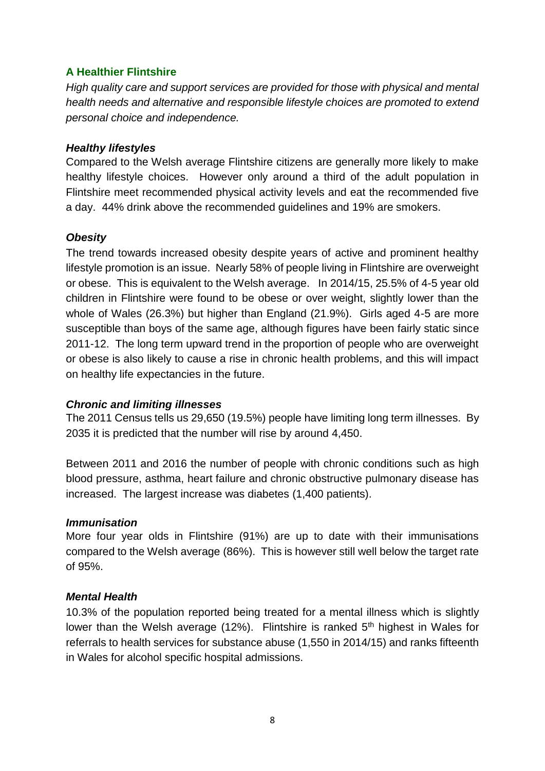## **A Healthier Flintshire**

*High quality care and support services are provided for those with physical and mental health needs and alternative and responsible lifestyle choices are promoted to extend personal choice and independence.*

### *Healthy lifestyles*

Compared to the Welsh average Flintshire citizens are generally more likely to make healthy lifestyle choices. However only around a third of the adult population in Flintshire meet recommended physical activity levels and eat the recommended five a day. 44% drink above the recommended guidelines and 19% are smokers.

### *Obesity*

The trend towards increased obesity despite years of active and prominent healthy lifestyle promotion is an issue. Nearly 58% of people living in Flintshire are overweight or obese. This is equivalent to the Welsh average. In 2014/15, 25.5% of 4-5 year old children in Flintshire were found to be obese or over weight, slightly lower than the whole of Wales (26.3%) but higher than England (21.9%). Girls aged 4-5 are more susceptible than boys of the same age, although figures have been fairly static since 2011-12. The long term upward trend in the proportion of people who are overweight or obese is also likely to cause a rise in chronic health problems, and this will impact on healthy life expectancies in the future.

#### *Chronic and limiting illnesses*

The 2011 Census tells us 29,650 (19.5%) people have limiting long term illnesses. By 2035 it is predicted that the number will rise by around 4,450.

Between 2011 and 2016 the number of people with chronic conditions such as high blood pressure, asthma, heart failure and chronic obstructive pulmonary disease has increased. The largest increase was diabetes (1,400 patients).

#### *Immunisation*

More four year olds in Flintshire (91%) are up to date with their immunisations compared to the Welsh average (86%). This is however still well below the target rate of 95%.

#### *Mental Health*

10.3% of the population reported being treated for a mental illness which is slightly lower than the Welsh average (12%). Flintshire is ranked  $5<sup>th</sup>$  highest in Wales for referrals to health services for substance abuse (1,550 in 2014/15) and ranks fifteenth in Wales for alcohol specific hospital admissions.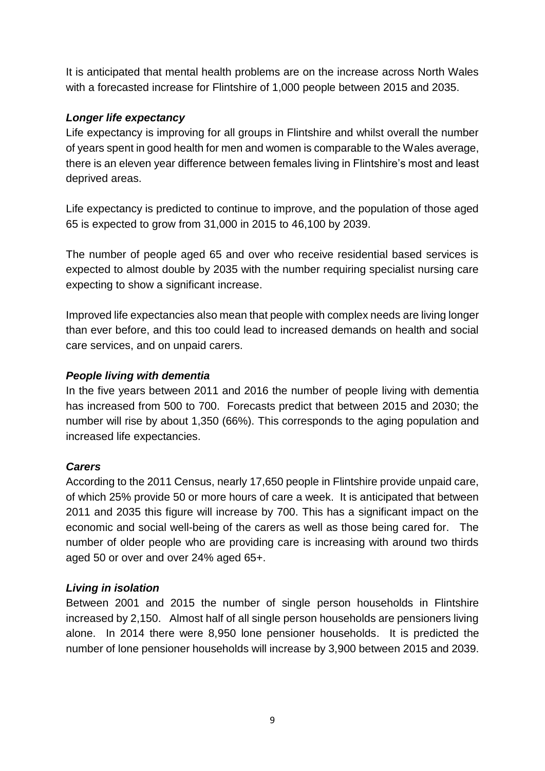It is anticipated that mental health problems are on the increase across North Wales with a forecasted increase for Flintshire of 1,000 people between 2015 and 2035.

# *Longer life expectancy*

Life expectancy is improving for all groups in Flintshire and whilst overall the number of years spent in good health for men and women is comparable to the Wales average, there is an eleven year difference between females living in Flintshire's most and least deprived areas.

Life expectancy is predicted to continue to improve, and the population of those aged 65 is expected to grow from 31,000 in 2015 to 46,100 by 2039.

The number of people aged 65 and over who receive residential based services is expected to almost double by 2035 with the number requiring specialist nursing care expecting to show a significant increase.

Improved life expectancies also mean that people with complex needs are living longer than ever before, and this too could lead to increased demands on health and social care services, and on unpaid carers.

# *People living with dementia*

In the five years between 2011 and 2016 the number of people living with dementia has increased from 500 to 700. Forecasts predict that between 2015 and 2030; the number will rise by about 1,350 (66%). This corresponds to the aging population and increased life expectancies.

## *Carers*

According to the 2011 Census, nearly 17,650 people in Flintshire provide unpaid care, of which 25% provide 50 or more hours of care a week. It is anticipated that between 2011 and 2035 this figure will increase by 700. This has a significant impact on the economic and social well-being of the carers as well as those being cared for. The number of older people who are providing care is increasing with around two thirds aged 50 or over and over 24% aged 65+.

## *Living in isolation*

Between 2001 and 2015 the number of single person households in Flintshire increased by 2,150. Almost half of all single person households are pensioners living alone. In 2014 there were 8,950 lone pensioner households. It is predicted the number of lone pensioner households will increase by 3,900 between 2015 and 2039.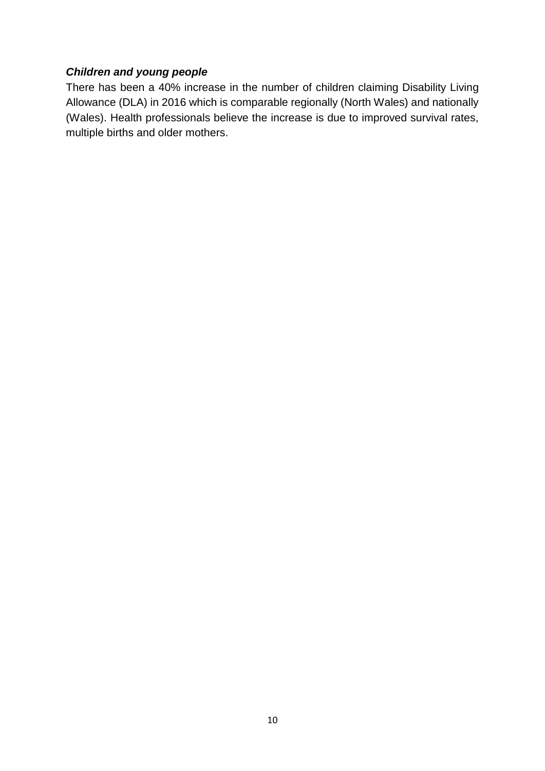# *Children and young people*

There has been a 40% increase in the number of children claiming Disability Living Allowance (DLA) in 2016 which is comparable regionally (North Wales) and nationally (Wales). Health professionals believe the increase is due to improved survival rates, multiple births and older mothers.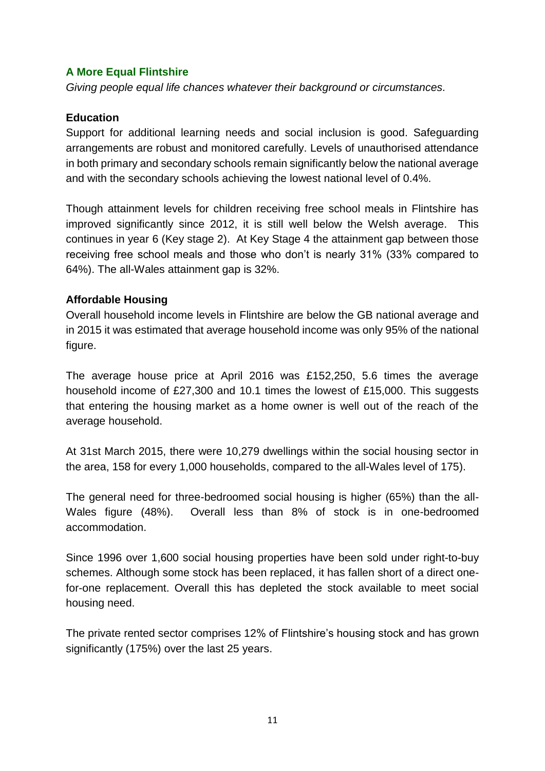### **A More Equal Flintshire**

*Giving people equal life chances whatever their background or circumstances.*

### **Education**

Support for additional learning needs and social inclusion is good. Safeguarding arrangements are robust and monitored carefully. Levels of unauthorised attendance in both primary and secondary schools remain significantly below the national average and with the secondary schools achieving the lowest national level of 0.4%.

Though attainment levels for children receiving free school meals in Flintshire has improved significantly since 2012, it is still well below the Welsh average. This continues in year 6 (Key stage 2). At Key Stage 4 the attainment gap between those receiving free school meals and those who don't is nearly 31% (33% compared to 64%). The all-Wales attainment gap is 32%.

### **Affordable Housing**

Overall household income levels in Flintshire are below the GB national average and in 2015 it was estimated that average household income was only 95% of the national figure.

The average house price at April 2016 was £152,250, 5.6 times the average household income of £27,300 and 10.1 times the lowest of £15,000. This suggests that entering the housing market as a home owner is well out of the reach of the average household.

At 31st March 2015, there were 10,279 dwellings within the social housing sector in the area, 158 for every 1,000 households, compared to the all-Wales level of 175).

The general need for three-bedroomed social housing is higher (65%) than the all-Wales figure (48%). Overall less than 8% of stock is in one-bedroomed accommodation.

Since 1996 over 1,600 social housing properties have been sold under right-to-buy schemes. Although some stock has been replaced, it has fallen short of a direct onefor-one replacement. Overall this has depleted the stock available to meet social housing need.

The private rented sector comprises 12% of Flintshire's housing stock and has grown significantly (175%) over the last 25 years.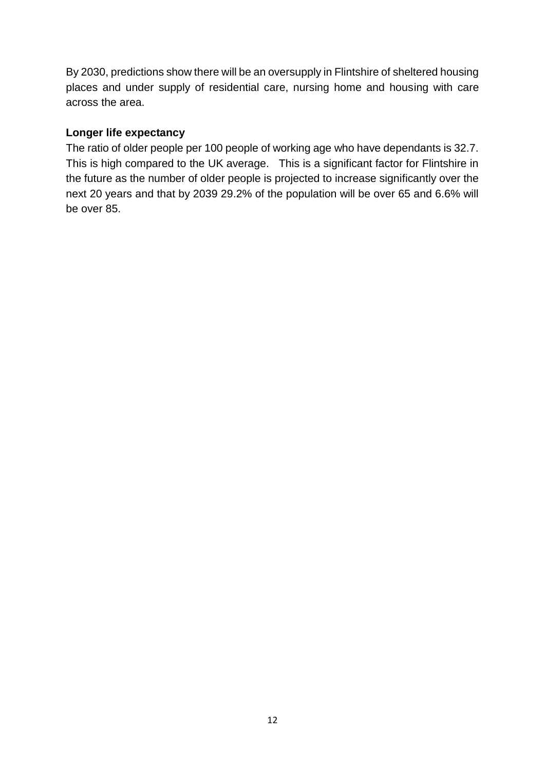By 2030, predictions show there will be an oversupply in Flintshire of sheltered housing places and under supply of residential care, nursing home and housing with care across the area.

## **Longer life expectancy**

The ratio of older people per 100 people of working age who have dependants is 32.7. This is high compared to the UK average. This is a significant factor for Flintshire in the future as the number of older people is projected to increase significantly over the next 20 years and that by 2039 29.2% of the population will be over 65 and 6.6% will be over 85.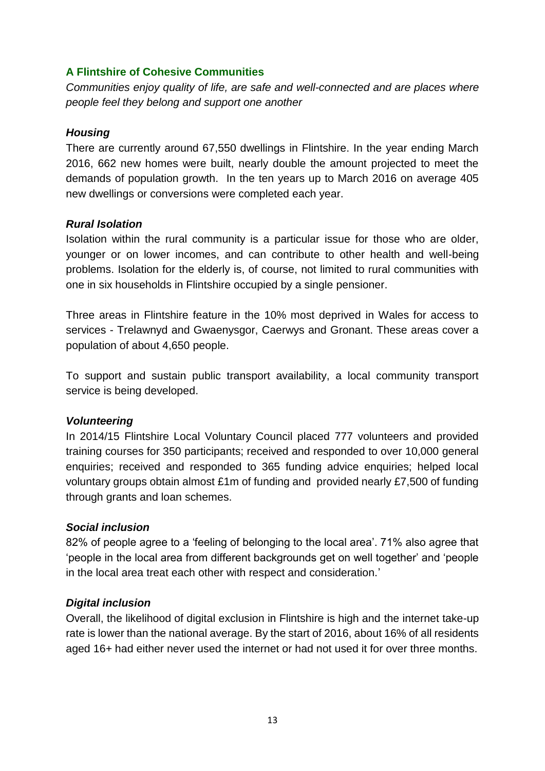## **A Flintshire of Cohesive Communities**

*Communities enjoy quality of life, are safe and well-connected and are places where people feel they belong and support one another*

### *Housing*

There are currently around 67,550 dwellings in Flintshire. In the year ending March 2016, 662 new homes were built, nearly double the amount projected to meet the demands of population growth. In the ten years up to March 2016 on average 405 new dwellings or conversions were completed each year.

### *Rural Isolation*

Isolation within the rural community is a particular issue for those who are older, younger or on lower incomes, and can contribute to other health and well-being problems. Isolation for the elderly is, of course, not limited to rural communities with one in six households in Flintshire occupied by a single pensioner.

Three areas in Flintshire feature in the 10% most deprived in Wales for access to services - Trelawnyd and Gwaenysgor, Caerwys and Gronant. These areas cover a population of about 4,650 people.

To support and sustain public transport availability, a local community transport service is being developed.

#### *Volunteering*

In 2014/15 Flintshire Local Voluntary Council placed 777 volunteers and provided training courses for 350 participants; received and responded to over 10,000 general enquiries; received and responded to 365 funding advice enquiries; helped local voluntary groups obtain almost £1m of funding and provided nearly £7,500 of funding through grants and loan schemes.

## *Social inclusion*

82% of people agree to a 'feeling of belonging to the local area'. 71% also agree that 'people in the local area from different backgrounds get on well together' and 'people in the local area treat each other with respect and consideration.'

## *Digital inclusion*

Overall, the likelihood of digital exclusion in Flintshire is high and the internet take-up rate is lower than the national average. By the start of 2016, about 16% of all residents aged 16+ had either never used the internet or had not used it for over three months.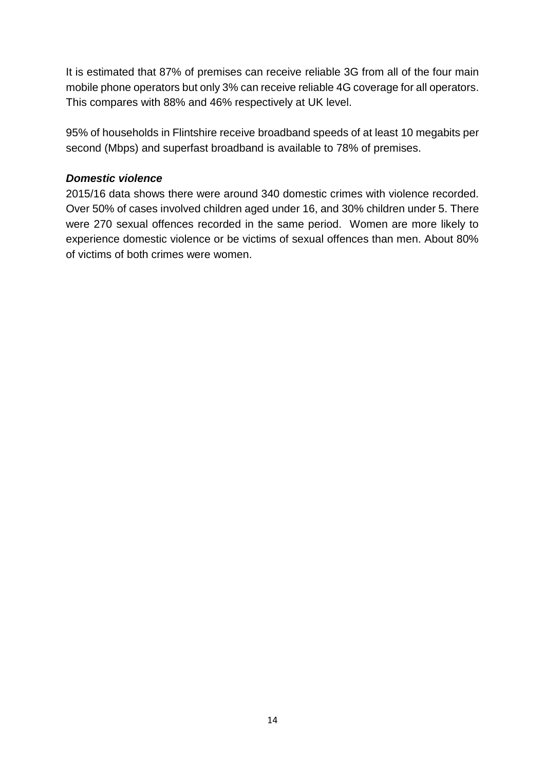It is estimated that 87% of premises can receive reliable 3G from all of the four main mobile phone operators but only 3% can receive reliable 4G coverage for all operators. This compares with 88% and 46% respectively at UK level.

95% of households in Flintshire receive broadband speeds of at least 10 megabits per second (Mbps) and superfast broadband is available to 78% of premises.

### *Domestic violence*

2015/16 data shows there were around 340 domestic crimes with violence recorded. Over 50% of cases involved children aged under 16, and 30% children under 5. There were 270 sexual offences recorded in the same period. Women are more likely to experience domestic violence or be victims of sexual offences than men. About 80% of victims of both crimes were women.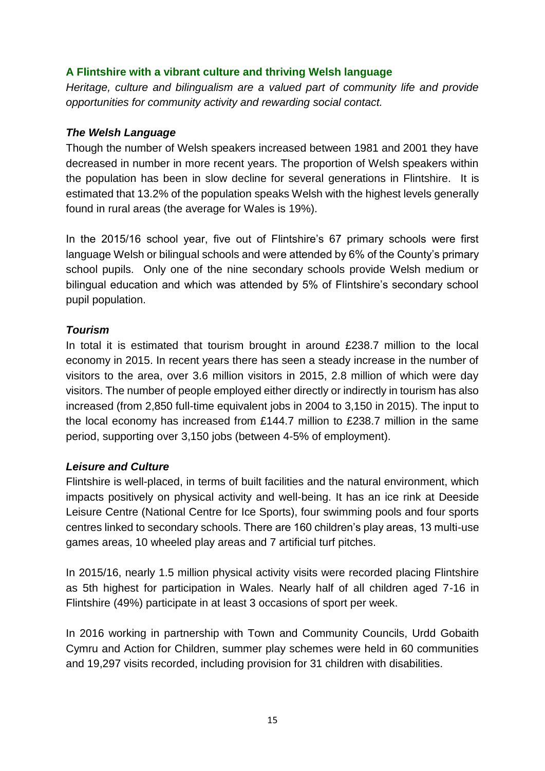## **A Flintshire with a vibrant culture and thriving Welsh language**

*Heritage, culture and bilingualism are a valued part of community life and provide opportunities for community activity and rewarding social contact.*

### *The Welsh Language*

Though the number of Welsh speakers increased between 1981 and 2001 they have decreased in number in more recent years. The proportion of Welsh speakers within the population has been in slow decline for several generations in Flintshire. It is estimated that 13.2% of the population speaks Welsh with the highest levels generally found in rural areas (the average for Wales is 19%).

In the 2015/16 school year, five out of Flintshire's 67 primary schools were first language Welsh or bilingual schools and were attended by 6% of the County's primary school pupils. Only one of the nine secondary schools provide Welsh medium or bilingual education and which was attended by 5% of Flintshire's secondary school pupil population.

### *Tourism*

In total it is estimated that tourism brought in around £238.7 million to the local economy in 2015. In recent years there has seen a steady increase in the number of visitors to the area, over 3.6 million visitors in 2015, 2.8 million of which were day visitors. The number of people employed either directly or indirectly in tourism has also increased (from 2,850 full-time equivalent jobs in 2004 to 3,150 in 2015). The input to the local economy has increased from £144.7 million to £238.7 million in the same period, supporting over 3,150 jobs (between 4-5% of employment).

#### *Leisure and Culture*

Flintshire is well-placed, in terms of built facilities and the natural environment, which impacts positively on physical activity and well-being. It has an ice rink at Deeside Leisure Centre (National Centre for Ice Sports), four swimming pools and four sports centres linked to secondary schools. There are 160 children's play areas, 13 multi-use games areas, 10 wheeled play areas and 7 artificial turf pitches.

In 2015/16, nearly 1.5 million physical activity visits were recorded placing Flintshire as 5th highest for participation in Wales. Nearly half of all children aged 7-16 in Flintshire (49%) participate in at least 3 occasions of sport per week.

In 2016 working in partnership with Town and Community Councils, Urdd Gobaith Cymru and Action for Children, summer play schemes were held in 60 communities and 19,297 visits recorded, including provision for 31 children with disabilities.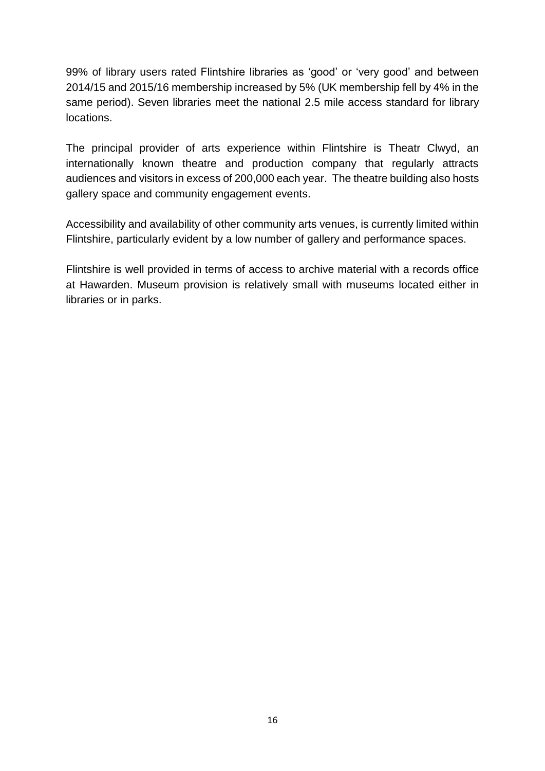99% of library users rated Flintshire libraries as 'good' or 'very good' and between 2014/15 and 2015/16 membership increased by 5% (UK membership fell by 4% in the same period). Seven libraries meet the national 2.5 mile access standard for library locations.

The principal provider of arts experience within Flintshire is Theatr Clwyd, an internationally known theatre and production company that regularly attracts audiences and visitors in excess of 200,000 each year. The theatre building also hosts gallery space and community engagement events.

Accessibility and availability of other community arts venues, is currently limited within Flintshire, particularly evident by a low number of gallery and performance spaces.

Flintshire is well provided in terms of access to archive material with a records office at Hawarden. Museum provision is relatively small with museums located either in libraries or in parks.